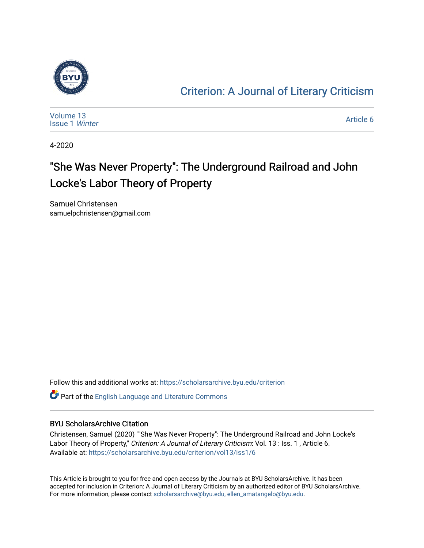

### [Criterion: A Journal of Literary Criticism](https://scholarsarchive.byu.edu/criterion)

| Volume 13<br><b>Issue 1 Winter</b> | Article 6 |
|------------------------------------|-----------|
|------------------------------------|-----------|

4-2020

### "She Was Never Property": The Underground Railroad and John Locke's Labor Theory of Property

Samuel Christensen samuelpchristensen@gmail.com

Follow this and additional works at: [https://scholarsarchive.byu.edu/criterion](https://scholarsarchive.byu.edu/criterion?utm_source=scholarsarchive.byu.edu%2Fcriterion%2Fvol13%2Fiss1%2F6&utm_medium=PDF&utm_campaign=PDFCoverPages) 

Part of the [English Language and Literature Commons](http://network.bepress.com/hgg/discipline/455?utm_source=scholarsarchive.byu.edu%2Fcriterion%2Fvol13%2Fiss1%2F6&utm_medium=PDF&utm_campaign=PDFCoverPages)

#### BYU ScholarsArchive Citation

Christensen, Samuel (2020) ""She Was Never Property": The Underground Railroad and John Locke's Labor Theory of Property," Criterion: A Journal of Literary Criticism: Vol. 13 : Iss. 1, Article 6. Available at: [https://scholarsarchive.byu.edu/criterion/vol13/iss1/6](https://scholarsarchive.byu.edu/criterion/vol13/iss1/6?utm_source=scholarsarchive.byu.edu%2Fcriterion%2Fvol13%2Fiss1%2F6&utm_medium=PDF&utm_campaign=PDFCoverPages)

This Article is brought to you for free and open access by the Journals at BYU ScholarsArchive. It has been accepted for inclusion in Criterion: A Journal of Literary Criticism by an authorized editor of BYU ScholarsArchive. For more information, please contact [scholarsarchive@byu.edu, ellen\\_amatangelo@byu.edu](mailto:scholarsarchive@byu.edu,%20ellen_amatangelo@byu.edu).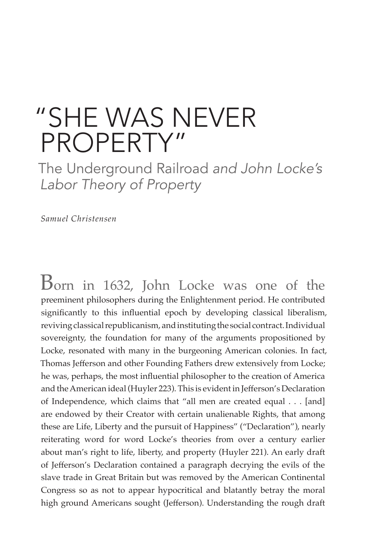## "SHE WAS NEVER PROPERTY"

The Underground Railroad *and John Locke's Labor Theory of Property*

*Samuel Christensen*

Born in 1632, John Locke was one of the preeminent philosophers during the Enlightenment period. He contributed significantly to this influential epoch by developing classical liberalism, reviving classical republicanism, and instituting the social contract. Individual sovereignty, the foundation for many of the arguments propositioned by Locke, resonated with many in the burgeoning American colonies. In fact, Thomas Jefferson and other Founding Fathers drew extensively from Locke; he was, perhaps, the most influential philosopher to the creation of America and the American ideal (Huyler 223). This is evident in Jefferson's Declaration of Independence, which claims that "all men are created equal . . . [and] are endowed by their Creator with certain unalienable Rights, that among these are Life, Liberty and the pursuit of Happiness" ("Declaration"), nearly reiterating word for word Locke's theories from over a century earlier about man's right to life, liberty, and property (Huyler 221). An early draft of Jefferson's Declaration contained a paragraph decrying the evils of the slave trade in Great Britain but was removed by the American Continental Congress so as not to appear hypocritical and blatantly betray the moral high ground Americans sought (Jefferson). Understanding the rough draft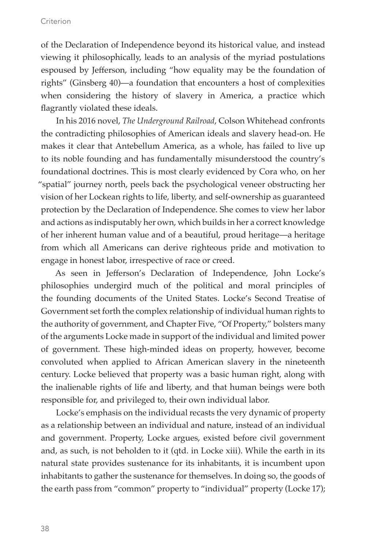of the Declaration of Independence beyond its historical value, and instead viewing it philosophically, leads to an analysis of the myriad postulations espoused by Jefferson, including "how equality may be the foundation of rights" (Ginsberg 40)—a foundation that encounters a host of complexities when considering the history of slavery in America, a practice which flagrantly violated these ideals.

In his 2016 novel, *The Underground Railroad*, Colson Whitehead confronts the contradicting philosophies of American ideals and slavery head-on. He makes it clear that Antebellum America, as a whole, has failed to live up to its noble founding and has fundamentally misunderstood the country's foundational doctrines. This is most clearly evidenced by Cora who, on her "spatial" journey north, peels back the psychological veneer obstructing her vision of her Lockean rights to life, liberty, and self-ownership as guaranteed protection by the Declaration of Independence. She comes to view her labor and actions as indisputably her own, which builds in her a correct knowledge of her inherent human value and of a beautiful, proud heritage—a heritage from which all Americans can derive righteous pride and motivation to engage in honest labor, irrespective of race or creed.

As seen in Jefferson's Declaration of Independence, John Locke's philosophies undergird much of the political and moral principles of the founding documents of the United States. Locke's Second Treatise of Government set forth the complex relationship of individual human rights to the authority of government, and Chapter Five, "Of Property," bolsters many of the arguments Locke made in support of the individual and limited power of government. These high-minded ideas on property, however, become convoluted when applied to African American slavery in the nineteenth century. Locke believed that property was a basic human right, along with the inalienable rights of life and liberty, and that human beings were both responsible for, and privileged to, their own individual labor.

Locke's emphasis on the individual recasts the very dynamic of property as a relationship between an individual and nature, instead of an individual and government. Property, Locke argues, existed before civil government and, as such, is not beholden to it (qtd. in Locke xiii). While the earth in its natural state provides sustenance for its inhabitants, it is incumbent upon inhabitants to gather the sustenance for themselves. In doing so, the goods of the earth pass from "common" property to "individual" property (Locke 17);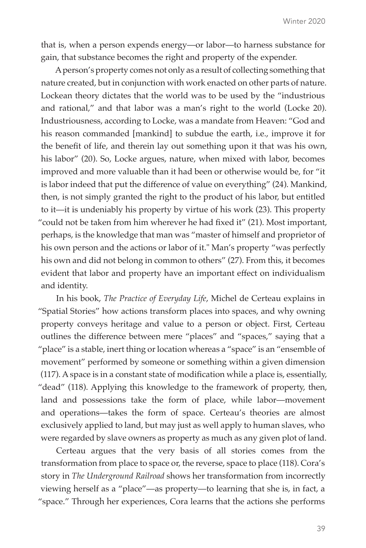that is, when a person expends energy—or labor—to harness substance for gain, that substance becomes the right and property of the expender.

A person's property comes not only as a result of collecting something that nature created, but in conjunction with work enacted on other parts of nature. Lockean theory dictates that the world was to be used by the "industrious and rational," and that labor was a man's right to the world (Locke 20). Industriousness, according to Locke, was a mandate from Heaven: "God and his reason commanded [mankind] to subdue the earth, i.e., improve it for the benefit of life, and therein lay out something upon it that was his own, his labor" (20). So, Locke argues, nature, when mixed with labor, becomes improved and more valuable than it had been or otherwise would be, for "it is labor indeed that put the difference of value on everything" (24). Mankind, then, is not simply granted the right to the product of his labor, but entitled to it—it is undeniably his property by virtue of his work (23). This property "could not be taken from him wherever he had fixed it" (21). Most important, perhaps, is the knowledge that man was "master of himself and proprietor of his own person and the actions or labor of it." Man's property "was perfectly his own and did not belong in common to others" (27). From this, it becomes evident that labor and property have an important effect on individualism and identity.

In his book, *The Practice of Everyday Life*, Michel de Certeau explains in "Spatial Stories" how actions transform places into spaces, and why owning property conveys heritage and value to a person or object. First, Certeau outlines the difference between mere "places" and "spaces," saying that a "place" is a stable, inert thing or location whereas a "space" is an "ensemble of movement" performed by someone or something within a given dimension (117). A space is in a constant state of modification while a place is, essentially, "dead" (118). Applying this knowledge to the framework of property, then, land and possessions take the form of place, while labor—movement and operations—takes the form of space. Certeau's theories are almost exclusively applied to land, but may just as well apply to human slaves, who were regarded by slave owners as property as much as any given plot of land.

Certeau argues that the very basis of all stories comes from the transformation from place to space or, the reverse, space to place (118). Cora's story in *The Underground Railroad* shows her transformation from incorrectly viewing herself as a "place"—as property—to learning that she is, in fact, a "space." Through her experiences, Cora learns that the actions she performs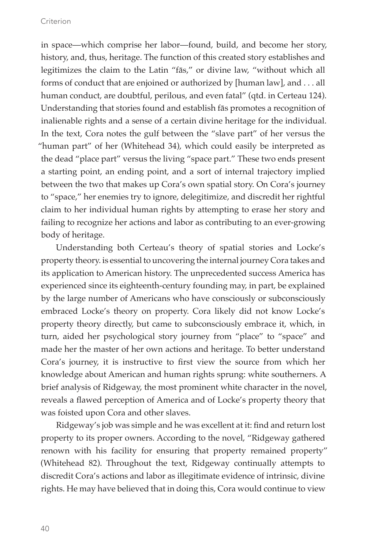in space—which comprise her labor—found, build, and become her story, history, and, thus, heritage. The function of this created story establishes and legitimizes the claim to the Latin "fās," or divine law, "without which all forms of conduct that are enjoined or authorized by [human law], and . . . all human conduct, are doubtful, perilous, and even fatal" (qtd. in Certeau 124). Understanding that stories found and establish fās promotes a recognition of inalienable rights and a sense of a certain divine heritage for the individual. In the text, Cora notes the gulf between the "slave part" of her versus the "human part" of her (Whitehead 34), which could easily be interpreted as the dead "place part" versus the living "space part." These two ends present a starting point, an ending point, and a sort of internal trajectory implied between the two that makes up Cora's own spatial story. On Cora's journey to "space," her enemies try to ignore, delegitimize, and discredit her rightful claim to her individual human rights by attempting to erase her story and failing to recognize her actions and labor as contributing to an ever-growing body of heritage.

Understanding both Certeau's theory of spatial stories and Locke's property theory. is essential to uncovering the internal journey Cora takes and its application to American history. The unprecedented success America has experienced since its eighteenth-century founding may, in part, be explained by the large number of Americans who have consciously or subconsciously embraced Locke's theory on property. Cora likely did not know Locke's property theory directly, but came to subconsciously embrace it, which, in turn, aided her psychological story journey from "place" to "space" and made her the master of her own actions and heritage. To better understand Cora's journey, it is instructive to first view the source from which her knowledge about American and human rights sprung: white southerners. A brief analysis of Ridgeway, the most prominent white character in the novel, reveals a flawed perception of America and of Locke's property theory that was foisted upon Cora and other slaves.

Ridgeway's job was simple and he was excellent at it: find and return lost property to its proper owners. According to the novel, "Ridgeway gathered renown with his facility for ensuring that property remained property" (Whitehead 82). Throughout the text, Ridgeway continually attempts to discredit Cora's actions and labor as illegitimate evidence of intrinsic, divine rights. He may have believed that in doing this, Cora would continue to view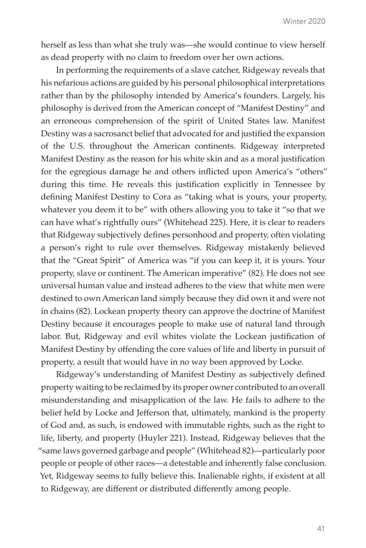herself as less than what she truly was—she would continue to view herself as dead property with no claim to freedom over her own actions.

In performing the requirements of a slave catcher, Ridgeway reveals that his nefarious actions are guided by his personal philosophical interpretations rather than by the philosophy intended by America's founders. Largely, his philosophy is derived from the American concept of "Manifest Destiny" and an erroneous comprehension of the spirit of United States law. Manifest Destiny was a sacrosanct belief that advocated for and justified the expansion of the U.S. throughout the American continents. Ridgeway interpreted Manifest Destiny as the reason for his white skin and as a moral justification for the egregious damage he and others inflicted upon America's "others" during this time. He reveals this justification explicitly in Tennessee by defining Manifest Destiny to Cora as "taking what is yours, your property, whatever you deem it to be" with others allowing you to take it "so that we can have what's rightfully ours" (Whitehead 225). Here, it is clear to readers that Ridgeway subjectively defines personhood and property, often violating a person's right to rule over themselves. Ridgeway mistakenly believed that the "Great Spirit" of America was "if you can keep it, it is yours. Your property, slave or continent. The American imperative" (82). He does not see universal human value and instead adheres to the view that white men were destined to own American land simply because they did own it and were not in chains (82). Lockean property theory can approve the doctrine of Manifest Destiny because it encourages people to make use of natural land through labor. But, Ridgeway and evil whites violate the Lockean justification of Manifest Destiny by offending the core values of life and liberty in pursuit of property, a result that would have in no way been approved by Locke.

Ridgeway's understanding of Manifest Destiny as subjectively defined property waiting to be reclaimed by its proper owner contributed to an overall misunderstanding and misapplication of the law. He fails to adhere to the belief held by Locke and Jefferson that, ultimately, mankind is the property of God and, as such, is endowed with immutable rights, such as the right to life, liberty, and property (Huyler 221). Instead, Ridgeway believes that the "same laws governed garbage and people" (Whitehead 82)—particularly poor people or people of other races—a detestable and inherently false conclusion. Yet, Ridgeway seems to fully believe this. Inalienable rights, if existent at all to Ridgeway, are different or distributed differently among people.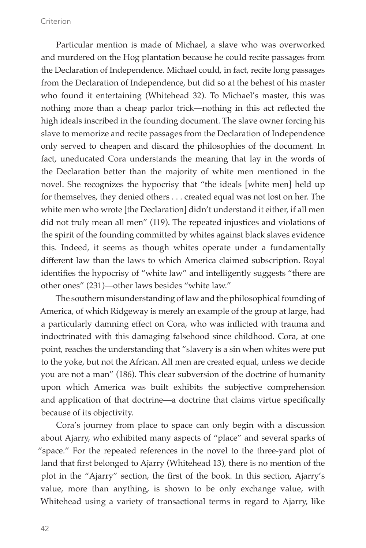Particular mention is made of Michael, a slave who was overworked and murdered on the Hog plantation because he could recite passages from the Declaration of Independence. Michael could, in fact, recite long passages from the Declaration of Independence, but did so at the behest of his master who found it entertaining (Whitehead 32). To Michael's master, this was nothing more than a cheap parlor trick—nothing in this act reflected the high ideals inscribed in the founding document. The slave owner forcing his slave to memorize and recite passages from the Declaration of Independence only served to cheapen and discard the philosophies of the document. In fact, uneducated Cora understands the meaning that lay in the words of the Declaration better than the majority of white men mentioned in the novel. She recognizes the hypocrisy that "the ideals [white men] held up for themselves, they denied others . . . created equal was not lost on her. The white men who wrote [the Declaration] didn't understand it either, if all men did not truly mean all men" (119). The repeated injustices and violations of the spirit of the founding committed by whites against black slaves evidence this. Indeed, it seems as though whites operate under a fundamentally different law than the laws to which America claimed subscription. Royal identifies the hypocrisy of "white law" and intelligently suggests "there are other ones" (231)—other laws besides "white law."

The southern misunderstanding of law and the philosophical founding of America, of which Ridgeway is merely an example of the group at large, had a particularly damning effect on Cora, who was inflicted with trauma and indoctrinated with this damaging falsehood since childhood. Cora, at one point, reaches the understanding that "slavery is a sin when whites were put to the yoke, but not the African. All men are created equal, unless we decide you are not a man" (186). This clear subversion of the doctrine of humanity upon which America was built exhibits the subjective comprehension and application of that doctrine—a doctrine that claims virtue specifically because of its objectivity.

Cora's journey from place to space can only begin with a discussion about Ajarry, who exhibited many aspects of "place" and several sparks of "space." For the repeated references in the novel to the three-yard plot of land that first belonged to Ajarry (Whitehead 13), there is no mention of the plot in the "Ajarry" section, the first of the book. In this section, Ajarry's value, more than anything, is shown to be only exchange value, with Whitehead using a variety of transactional terms in regard to Ajarry, like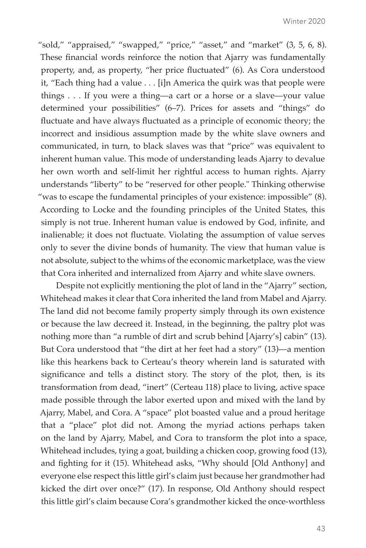"sold," "appraised," "swapped," "price," "asset," and "market" (3, 5, 6, 8). These financial words reinforce the notion that Ajarry was fundamentally property, and, as property, "her price fluctuated" (6). As Cora understood it, "Each thing had a value . . . [i]n America the quirk was that people were things . . . If you were a thing—a cart or a horse or a slave—your value determined your possibilities" (6–7). Prices for assets and "things" do fluctuate and have always fluctuated as a principle of economic theory; the incorrect and insidious assumption made by the white slave owners and communicated, in turn, to black slaves was that "price" was equivalent to inherent human value. This mode of understanding leads Ajarry to devalue her own worth and self-limit her rightful access to human rights. Ajarry understands "liberty" to be "reserved for other people." Thinking otherwise "was to escape the fundamental principles of your existence: impossible" (8). According to Locke and the founding principles of the United States, this simply is not true. Inherent human value is endowed by God, infinite, and inalienable; it does not fluctuate. Violating the assumption of value serves only to sever the divine bonds of humanity. The view that human value is not absolute, subject to the whims of the economic marketplace, was the view that Cora inherited and internalized from Ajarry and white slave owners.

Despite not explicitly mentioning the plot of land in the "Ajarry" section, Whitehead makes it clear that Cora inherited the land from Mabel and Ajarry. The land did not become family property simply through its own existence or because the law decreed it. Instead, in the beginning, the paltry plot was nothing more than "a rumble of dirt and scrub behind [Ajarry's] cabin" (13). But Cora understood that "the dirt at her feet had a story" (13)—a mention like this hearkens back to Certeau's theory wherein land is saturated with significance and tells a distinct story. The story of the plot, then, is its transformation from dead, "inert" (Certeau 118) place to living, active space made possible through the labor exerted upon and mixed with the land by Ajarry, Mabel, and Cora. A "space" plot boasted value and a proud heritage that a "place" plot did not. Among the myriad actions perhaps taken on the land by Ajarry, Mabel, and Cora to transform the plot into a space, Whitehead includes, tying a goat, building a chicken coop, growing food (13), and fighting for it (15). Whitehead asks, "Why should [Old Anthony] and everyone else respect this little girl's claim just because her grandmother had kicked the dirt over once?" (17). In response, Old Anthony should respect this little girl's claim because Cora's grandmother kicked the once-worthless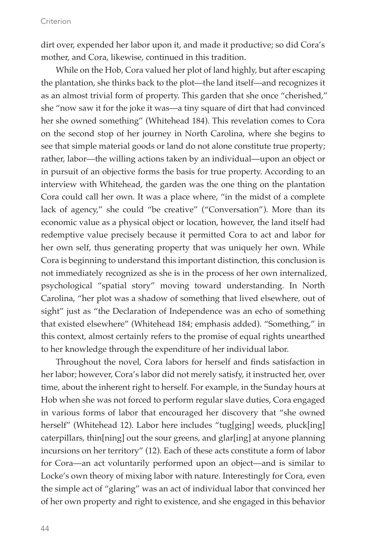dirt over, expended her labor upon it, and made it productive; so did Cora's mother, and Cora, likewise, continued in this tradition.

While on the Hob, Cora valued her plot of land highly, but after escaping the plantation, she thinks back to the plot—the land itself—and recognizes it as an almost trivial form of property. This garden that she once "cherished," she "now saw it for the joke it was—a tiny square of dirt that had convinced her she owned something" (Whitehead 184). This revelation comes to Cora on the second stop of her journey in North Carolina, where she begins to see that simple material goods or land do not alone constitute true property; rather, labor—the willing actions taken by an individual—upon an object or in pursuit of an objective forms the basis for true property. According to an interview with Whitehead, the garden was the one thing on the plantation Cora could call her own. It was a place where, "in the midst of a complete lack of agency," she could "be creative" ("Conversation"). More than its economic value as a physical object or location, however, the land itself had redemptive value precisely because it permitted Cora to act and labor for her own self, thus generating property that was uniquely her own. While Cora is beginning to understand this important distinction, this conclusion is not immediately recognized as she is in the process of her own internalized, psychological "spatial story" moving toward understanding. In North Carolina, "her plot was a shadow of something that lived elsewhere, out of sight" just as "the Declaration of Independence was an echo of something that existed elsewhere" (Whitehead 184; emphasis added). "Something," in this context, almost certainly refers to the promise of equal rights unearthed to her knowledge through the expenditure of her individual labor.

Throughout the novel, Cora labors for herself and finds satisfaction in her labor; however, Cora's labor did not merely satisfy, it instructed her, over time, about the inherent right to herself. For example, in the Sunday hours at Hob when she was not forced to perform regular slave duties, Cora engaged in various forms of labor that encouraged her discovery that "she owned herself" (Whitehead 12). Labor here includes "tug[ging] weeds, pluck[ing] caterpillars, thin[ning] out the sour greens, and glar[ing] at anyone planning incursions on her territory" (12). Each of these acts constitute a form of labor for Cora—an act voluntarily performed upon an object—and is similar to Locke's own theory of mixing labor with nature. Interestingly for Cora, even the simple act of "glaring" was an act of individual labor that convinced her of her own property and right to existence, and she engaged in this behavior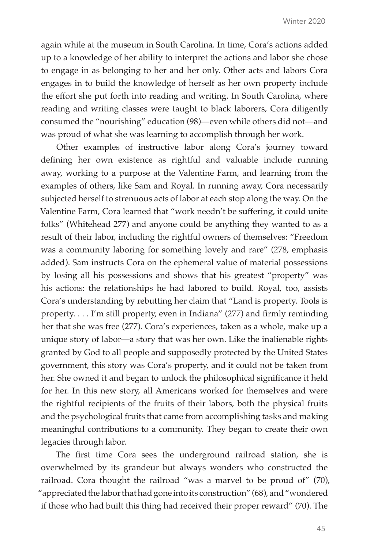again while at the museum in South Carolina. In time, Cora's actions added up to a knowledge of her ability to interpret the actions and labor she chose to engage in as belonging to her and her only. Other acts and labors Cora engages in to build the knowledge of herself as her own property include the effort she put forth into reading and writing. In South Carolina, where reading and writing classes were taught to black laborers, Cora diligently consumed the "nourishing" education (98)—even while others did not—and was proud of what she was learning to accomplish through her work.

Other examples of instructive labor along Cora's journey toward defining her own existence as rightful and valuable include running away, working to a purpose at the Valentine Farm, and learning from the examples of others, like Sam and Royal. In running away, Cora necessarily subjected herself to strenuous acts of labor at each stop along the way. On the Valentine Farm, Cora learned that "work needn't be suffering, it could unite folks" (Whitehead 277) and anyone could be anything they wanted to as a result of their labor, including the rightful owners of themselves: "Freedom was a community laboring for something lovely and rare" (278, emphasis added). Sam instructs Cora on the ephemeral value of material possessions by losing all his possessions and shows that his greatest "property" was his actions: the relationships he had labored to build. Royal, too, assists Cora's understanding by rebutting her claim that "Land is property. Tools is property. . . . I'm still property, even in Indiana" (277) and firmly reminding her that she was free (277). Cora's experiences, taken as a whole, make up a unique story of labor—a story that was her own. Like the inalienable rights granted by God to all people and supposedly protected by the United States government, this story was Cora's property, and it could not be taken from her. She owned it and began to unlock the philosophical significance it held for her. In this new story, all Americans worked for themselves and were the rightful recipients of the fruits of their labors, both the physical fruits and the psychological fruits that came from accomplishing tasks and making meaningful contributions to a community. They began to create their own legacies through labor.

The first time Cora sees the underground railroad station, she is overwhelmed by its grandeur but always wonders who constructed the railroad. Cora thought the railroad "was a marvel to be proud of" (70), "appreciated the labor that had gone into its construction" (68), and "wondered if those who had built this thing had received their proper reward" (70). The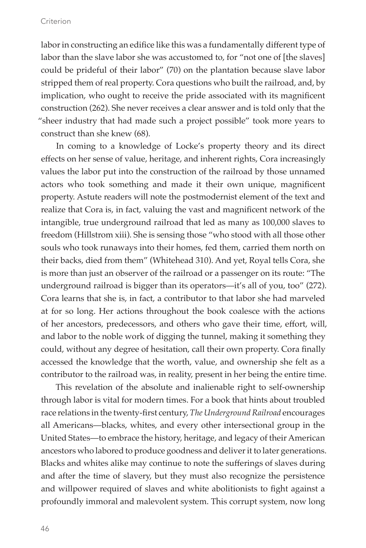labor in constructing an edifice like this was a fundamentally different type of labor than the slave labor she was accustomed to, for "not one of [the slaves] could be prideful of their labor" (70) on the plantation because slave labor stripped them of real property. Cora questions who built the railroad, and, by implication, who ought to receive the pride associated with its magnificent construction (262). She never receives a clear answer and is told only that the "sheer industry that had made such a project possible" took more years to construct than she knew (68).

In coming to a knowledge of Locke's property theory and its direct effects on her sense of value, heritage, and inherent rights, Cora increasingly values the labor put into the construction of the railroad by those unnamed actors who took something and made it their own unique, magnificent property. Astute readers will note the postmodernist element of the text and realize that Cora is, in fact, valuing the vast and magnificent network of the intangible, true underground railroad that led as many as 100,000 slaves to freedom (Hillstrom xiii). She is sensing those "who stood with all those other souls who took runaways into their homes, fed them, carried them north on their backs, died from them" (Whitehead 310). And yet, Royal tells Cora, she is more than just an observer of the railroad or a passenger on its route: "The underground railroad is bigger than its operators—it's all of you, too" (272). Cora learns that she is, in fact, a contributor to that labor she had marveled at for so long. Her actions throughout the book coalesce with the actions of her ancestors, predecessors, and others who gave their time, effort, will, and labor to the noble work of digging the tunnel, making it something they could, without any degree of hesitation, call their own property. Cora finally accessed the knowledge that the worth, value, and ownership she felt as a contributor to the railroad was, in reality, present in her being the entire time.

This revelation of the absolute and inalienable right to self-ownership through labor is vital for modern times. For a book that hints about troubled race relations in the twenty-first century, *The Underground Railroad* encourages all Americans—blacks, whites, and every other intersectional group in the United States—to embrace the history, heritage, and legacy of their American ancestors who labored to produce goodness and deliver it to later generations. Blacks and whites alike may continue to note the sufferings of slaves during and after the time of slavery, but they must also recognize the persistence and willpower required of slaves and white abolitionists to fight against a profoundly immoral and malevolent system. This corrupt system, now long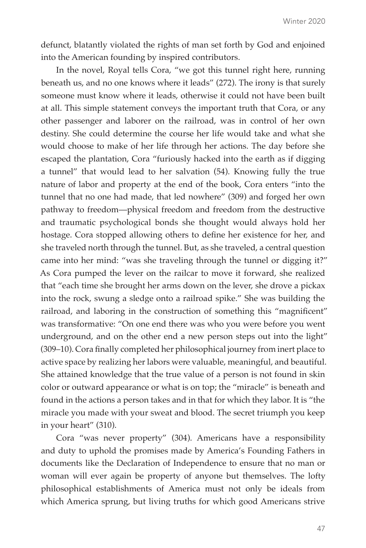defunct, blatantly violated the rights of man set forth by God and enjoined into the American founding by inspired contributors.

In the novel, Royal tells Cora, "we got this tunnel right here, running beneath us, and no one knows where it leads" (272). The irony is that surely someone must know where it leads, otherwise it could not have been built at all. This simple statement conveys the important truth that Cora, or any other passenger and laborer on the railroad, was in control of her own destiny. She could determine the course her life would take and what she would choose to make of her life through her actions. The day before she escaped the plantation, Cora "furiously hacked into the earth as if digging a tunnel" that would lead to her salvation (54). Knowing fully the true nature of labor and property at the end of the book, Cora enters "into the tunnel that no one had made, that led nowhere" (309) and forged her own pathway to freedom—physical freedom and freedom from the destructive and traumatic psychological bonds she thought would always hold her hostage. Cora stopped allowing others to define her existence for her, and she traveled north through the tunnel. But, as she traveled, a central question came into her mind: "was she traveling through the tunnel or digging it?" As Cora pumped the lever on the railcar to move it forward, she realized that "each time she brought her arms down on the lever, she drove a pickax into the rock, swung a sledge onto a railroad spike." She was building the railroad, and laboring in the construction of something this "magnificent" was transformative: "On one end there was who you were before you went underground, and on the other end a new person steps out into the light" (309–10). Cora finally completed her philosophical journey from inert place to active space by realizing her labors were valuable, meaningful, and beautiful. She attained knowledge that the true value of a person is not found in skin color or outward appearance or what is on top; the "miracle" is beneath and found in the actions a person takes and in that for which they labor. It is "the miracle you made with your sweat and blood. The secret triumph you keep in your heart" (310).

Cora "was never property" (304). Americans have a responsibility and duty to uphold the promises made by America's Founding Fathers in documents like the Declaration of Independence to ensure that no man or woman will ever again be property of anyone but themselves. The lofty philosophical establishments of America must not only be ideals from which America sprung, but living truths for which good Americans strive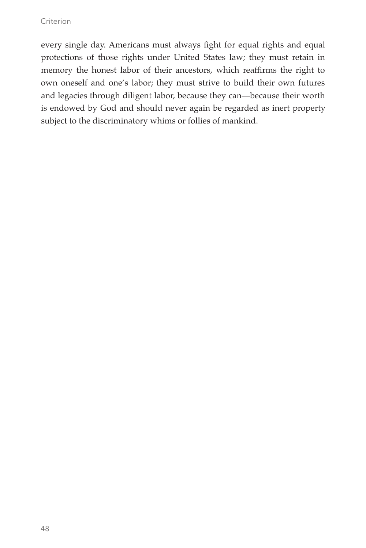every single day. Americans must always fight for equal rights and equal protections of those rights under United States law; they must retain in memory the honest labor of their ancestors, which reaffirms the right to own oneself and one's labor; they must strive to build their own futures and legacies through diligent labor, because they can—because their worth is endowed by God and should never again be regarded as inert property subject to the discriminatory whims or follies of mankind.